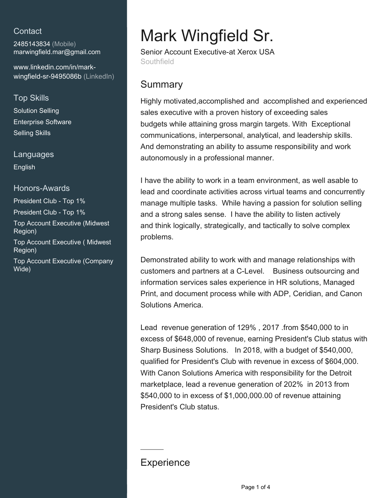### **Contact**

2485143834 (Mobile) [marwingfield.mar@gmail.com](mailto:marwingfield.mar@gmail.com)

[www.linkedin.com/in/mark](https://www.linkedin.com/in/mark-wingfield-sr-9495086b?jobid=1234&lipi=urn%3Ali%3Apage%3Ad_jobs_easyapply_pdfgenresume%3B%2BWXaVYFBQvmZspbi%2B8a8Yw%3D%3D&licu=urn%3Ali%3Acontrol%3Ad_jobs_easyapply_pdfgenresume-v02_profile)[wingfield-sr-9495086b \(LinkedIn\)](https://www.linkedin.com/in/mark-wingfield-sr-9495086b?jobid=1234&lipi=urn%3Ali%3Apage%3Ad_jobs_easyapply_pdfgenresume%3B%2BWXaVYFBQvmZspbi%2B8a8Yw%3D%3D&licu=urn%3Ali%3Acontrol%3Ad_jobs_easyapply_pdfgenresume-v02_profile)

#### Top Skills

Solution Selling Enterprise Software Selling Skills

Languages English

# Honors-Awards President Club - Top 1%

President Club - Top 1% Top Account Executive (Midwest Region)

Top Account Executive ( Midwest Region)

Top Account Executive (Company Wide)

# Mark Wingfield Sr.

Senior Account Executive-at Xerox USA **Southfield** 

# **Summary**

Highly motivated,accomplished and accomplished and experienced sales executive with a proven history of exceeding sales budgets while attaining gross margin targets. With Exceptional communications, interpersonal, analytical, and leadership skills. And demonstrating an ability to assume responsibility and work autonomously in a professional manner.

I have the ability to work in a team environment, as well asable to lead and coordinate activities across virtual teams and concurrently manage multiple tasks. While having a passion for solution selling and a strong sales sense. I have the ability to listen actively and think logically, strategically, and tactically to solve complex problems.

Demonstrated ability to work with and manage relationships with customers and partners at a C-Level. Business outsourcing and information services sales experience in HR solutions, Managed Print, and document process while with ADP, Ceridian, and Canon Solutions America.

Lead revenue generation of 129% , 2017 .from \$540,000 to in excess of \$648,000 of revenue, earning President's Club status with Sharp Business Solutions. In 2018, with a budget of \$540,000, qualified for President's Club with revenue in excess of \$604,000. With Canon Solutions America with responsibility for the Detroit marketplace, lead a revenue generation of 202% in 2013 from \$540,000 to in excess of \$1,000,000.00 of revenue attaining President's Club status.

## **Experience**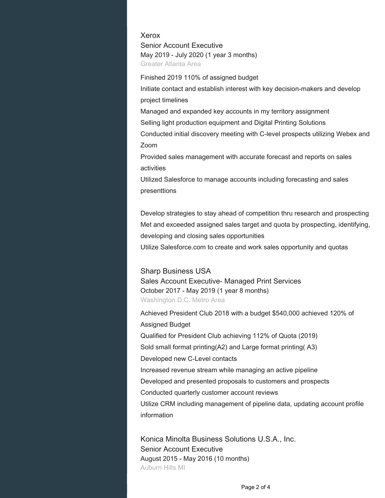Xerox Senior Account Executive May 2019 - July 2020 (1 year 3 months) Greater Atlanta Area

Finished 2019 110% of assigned budget Initiate contact and establish interest with key decision-makers and develop project timelines

Managed and expanded key accounts in my territory assignment

Selling light production equipment and Digital Printing Solutions

Conducted initial discovery meeting with C-level prospects utilizing Webex and Zoom

Provided sales management with accurate forecast and reports on sales activities

Utilized Salesforce to manage accounts including forecasting and sales presenttions

Develop strategies to stay ahead of competition thru research and prospecting Met and exceeded assigned sales target and quota by prospecting, identifying, developing and closing sales opportunities

Utilize Salesforce.com to create and work sales opportunity and quotas

#### Sharp Business USA

Sales Account Executive- Managed Print Services October 2017 - May 2019 (1 year 8 months) Washington D.C. Metro Area

Achieved President Club 2018 with a budget \$540,000 achieved 120% of Assigned Budget Qualified for President Club achieving 112% of Quota (2019) Sold small format printing(A2) and Large format printing( A3) Developed new C-Level contacts Increased revenue stream while managing an active pipeline Developed and presented proposals to customers and prospects Conducted quarterly customer account reviews Utilize CRM including management of pipeline data, updating account profile information

Konica Minolta Business Solutions U.S.A., Inc. Senior Account Executive August 2015 - May 2016 (10 months) Auburn Hills MI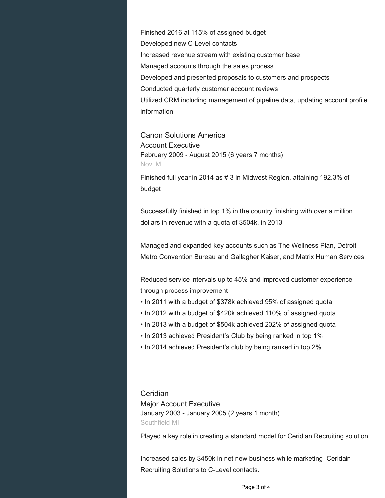Finished 2016 at 115% of assigned budget Developed new C-Level contacts Increased revenue stream with existing customer base Managed accounts through the sales process Developed and presented proposals to customers and prospects Conducted quarterly customer account reviews Utilized CRM including management of pipeline data, updating account profile information

Canon Solutions America Account Executive February 2009 - August 2015 (6 years 7 months) Novi MI

Finished full year in 2014 as # 3 in Midwest Region, attaining 192.3% of budget

Successfully finished in top 1% in the country finishing with over a million dollars in revenue with a quota of \$504k, in 2013

Managed and expanded key accounts such as The Wellness Plan, Detroit Metro Convention Bureau and Gallagher Kaiser, and Matrix Human Services.

Reduced service intervals up to 45% and improved customer experience through process improvement

- In 2011 with a budget of \$378k achieved 95% of assigned quota
- In 2012 with a budget of \$420k achieved 110% of assigned quota
- In 2013 with a budget of \$504k achieved 202% of assigned quota
- In 2013 achieved President's Club by being ranked in top 1%
- In 2014 achieved President's club by being ranked in top 2%

Ceridian Major Account Executive January 2003 - January 2005 (2 years 1 month) Southfield MI

Played a key role in creating a standard model for Ceridian Recruiting solution

Increased sales by \$450k in net new business while marketing Ceridain Recruiting Solutions to C-Level contacts.